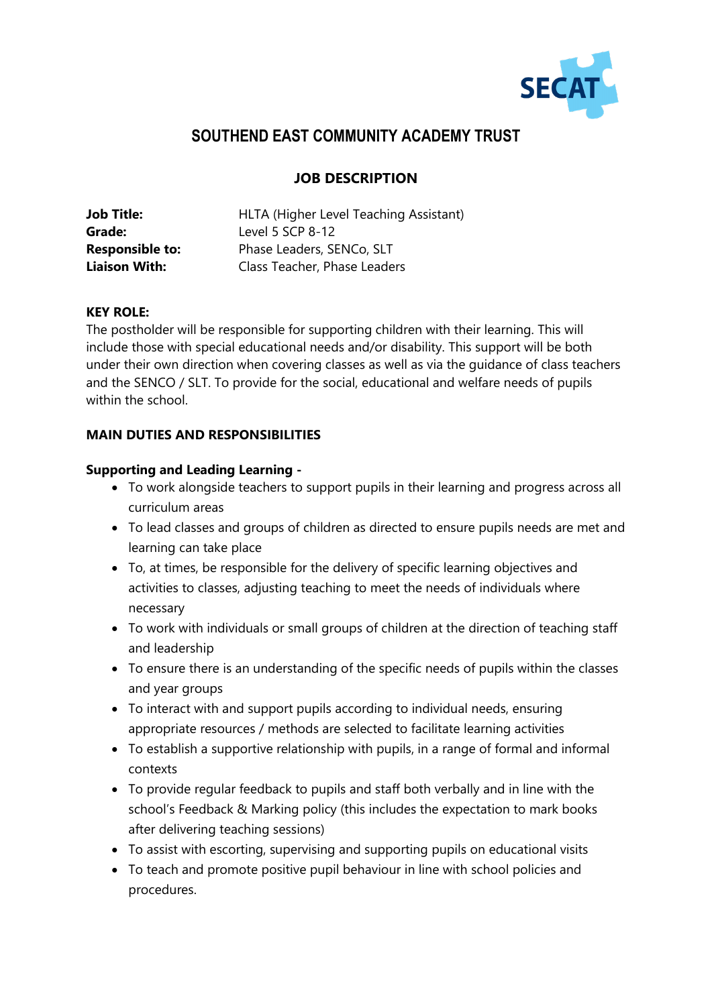

# **SOUTHEND EAST COMMUNITY ACADEMY TRUST**

## **JOB DESCRIPTION**

| <b>Job Title:</b>      | HLTA (Higher Level Teaching Assistant) |
|------------------------|----------------------------------------|
| Grade:                 | Level 5 SCP 8-12                       |
| <b>Responsible to:</b> | Phase Leaders, SENCo, SLT              |
| <b>Liaison With:</b>   | Class Teacher, Phase Leaders           |

### **KEY ROLE:**

The postholder will be responsible for supporting children with their learning. This will include those with special educational needs and/or disability. This support will be both under their own direction when covering classes as well as via the guidance of class teachers and the SENCO / SLT. To provide for the social, educational and welfare needs of pupils within the school.

## **MAIN DUTIES AND RESPONSIBILITIES**

### **Supporting and Leading Learning -**

- To work alongside teachers to support pupils in their learning and progress across all curriculum areas
- To lead classes and groups of children as directed to ensure pupils needs are met and learning can take place
- To, at times, be responsible for the delivery of specific learning objectives and activities to classes, adjusting teaching to meet the needs of individuals where necessary
- To work with individuals or small groups of children at the direction of teaching staff and leadership
- To ensure there is an understanding of the specific needs of pupils within the classes and year groups
- To interact with and support pupils according to individual needs, ensuring appropriate resources / methods are selected to facilitate learning activities
- To establish a supportive relationship with pupils, in a range of formal and informal contexts
- To provide regular feedback to pupils and staff both verbally and in line with the school's Feedback & Marking policy (this includes the expectation to mark books after delivering teaching sessions)
- To assist with escorting, supervising and supporting pupils on educational visits
- To teach and promote positive pupil behaviour in line with school policies and procedures.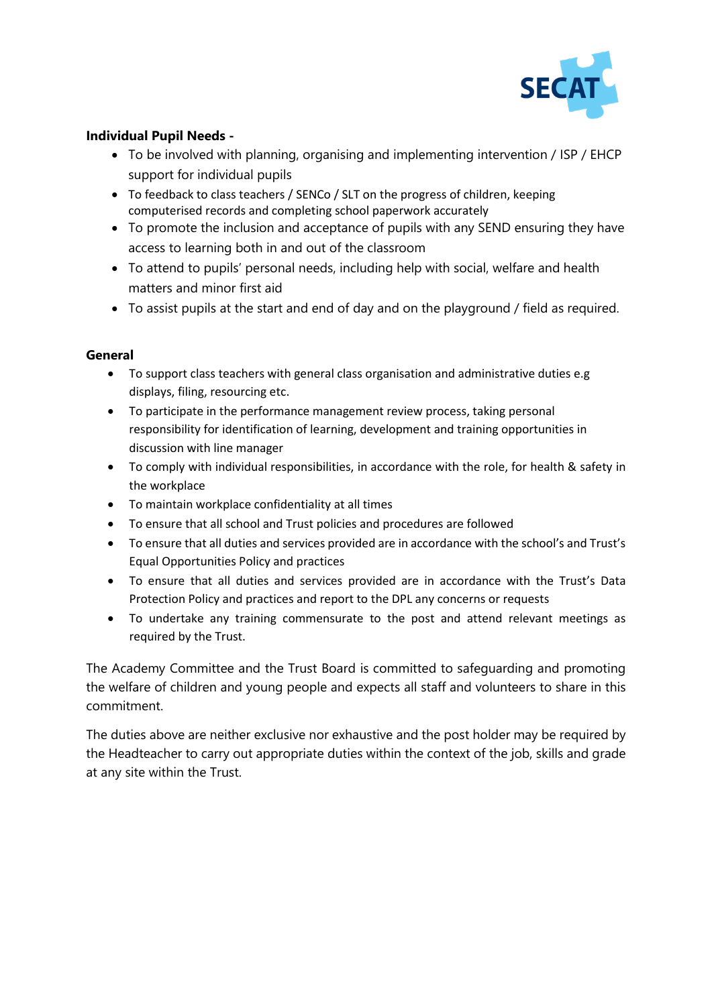

### **Individual Pupil Needs -**

- To be involved with planning, organising and implementing intervention / ISP / EHCP support for individual pupils
- To feedback to class teachers / SENCo / SLT on the progress of children, keeping computerised records and completing school paperwork accurately
- To promote the inclusion and acceptance of pupils with any SEND ensuring they have access to learning both in and out of the classroom
- To attend to pupils' personal needs, including help with social, welfare and health matters and minor first aid
- To assist pupils at the start and end of day and on the playground / field as required.

## **General**

- To support class teachers with general class organisation and administrative duties e.g displays, filing, resourcing etc.
- To participate in the performance management review process, taking personal responsibility for identification of learning, development and training opportunities in discussion with line manager
- To comply with individual responsibilities, in accordance with the role, for health & safety in the workplace
- To maintain workplace confidentiality at all times
- To ensure that all school and Trust policies and procedures are followed
- To ensure that all duties and services provided are in accordance with the school's and Trust's Equal Opportunities Policy and practices
- To ensure that all duties and services provided are in accordance with the Trust's Data Protection Policy and practices and report to the DPL any concerns or requests
- To undertake any training commensurate to the post and attend relevant meetings as required by the Trust.

The Academy Committee and the Trust Board is committed to safeguarding and promoting the welfare of children and young people and expects all staff and volunteers to share in this commitment.

The duties above are neither exclusive nor exhaustive and the post holder may be required by the Headteacher to carry out appropriate duties within the context of the job, skills and grade at any site within the Trust.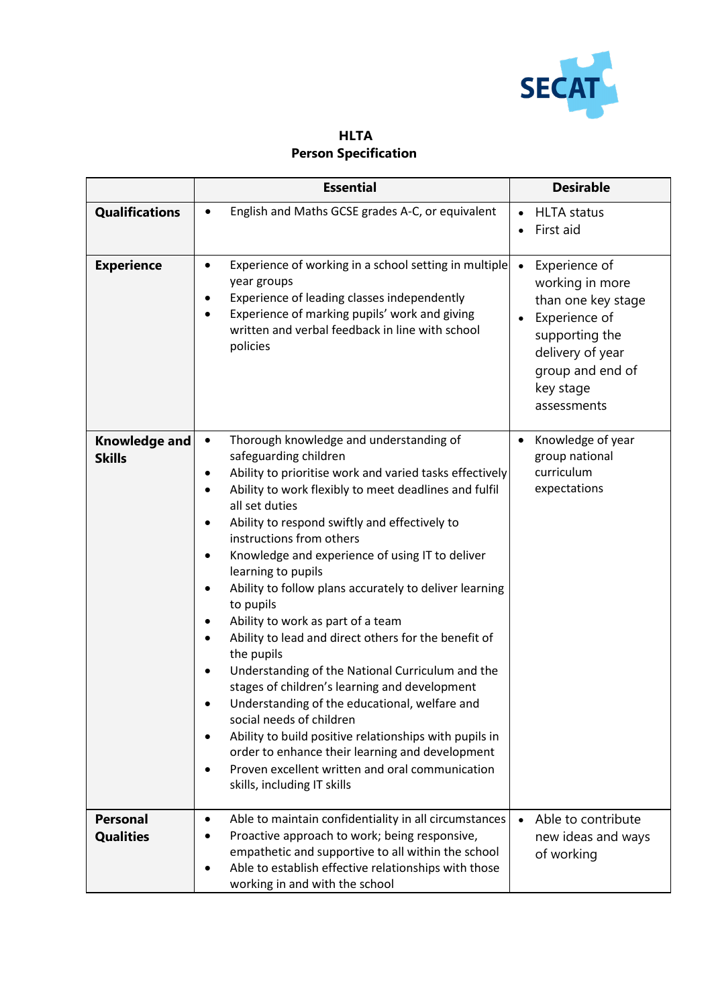

**HLTA Person Specification**

|                                       | <b>Essential</b>                                                                                                                                                                                                                                                                                                                                                                                                                                                                                                                                                                                                                                                                                                                                                                                                                                                                                                                                                                                                                                          | <b>Desirable</b>                                                                                                                                                           |  |  |
|---------------------------------------|-----------------------------------------------------------------------------------------------------------------------------------------------------------------------------------------------------------------------------------------------------------------------------------------------------------------------------------------------------------------------------------------------------------------------------------------------------------------------------------------------------------------------------------------------------------------------------------------------------------------------------------------------------------------------------------------------------------------------------------------------------------------------------------------------------------------------------------------------------------------------------------------------------------------------------------------------------------------------------------------------------------------------------------------------------------|----------------------------------------------------------------------------------------------------------------------------------------------------------------------------|--|--|
| <b>Qualifications</b>                 | English and Maths GCSE grades A-C, or equivalent                                                                                                                                                                                                                                                                                                                                                                                                                                                                                                                                                                                                                                                                                                                                                                                                                                                                                                                                                                                                          | <b>HLTA</b> status<br>First aid                                                                                                                                            |  |  |
| <b>Experience</b>                     | Experience of working in a school setting in multiple<br>٠<br>year groups<br>Experience of leading classes independently<br>$\bullet$<br>Experience of marking pupils' work and giving<br>written and verbal feedback in line with school<br>policies                                                                                                                                                                                                                                                                                                                                                                                                                                                                                                                                                                                                                                                                                                                                                                                                     | Experience of<br>$\bullet$<br>working in more<br>than one key stage<br>Experience of<br>supporting the<br>delivery of year<br>group and end of<br>key stage<br>assessments |  |  |
| <b>Knowledge and</b><br><b>Skills</b> | Thorough knowledge and understanding of<br>$\bullet$<br>safeguarding children<br>Ability to prioritise work and varied tasks effectively<br>٠<br>Ability to work flexibly to meet deadlines and fulfil<br>$\bullet$<br>all set duties<br>Ability to respond swiftly and effectively to<br>$\bullet$<br>instructions from others<br>Knowledge and experience of using IT to deliver<br>$\bullet$<br>learning to pupils<br>Ability to follow plans accurately to deliver learning<br>$\bullet$<br>to pupils<br>Ability to work as part of a team<br>Ability to lead and direct others for the benefit of<br>$\bullet$<br>the pupils<br>Understanding of the National Curriculum and the<br>$\bullet$<br>stages of children's learning and development<br>Understanding of the educational, welfare and<br>social needs of children<br>Ability to build positive relationships with pupils in<br>$\bullet$<br>order to enhance their learning and development<br>Proven excellent written and oral communication<br>$\bullet$<br>skills, including IT skills | Knowledge of year<br>group national<br>curriculum<br>expectations                                                                                                          |  |  |
| <b>Personal</b><br><b>Qualities</b>   | Able to maintain confidentiality in all circumstances<br>$\bullet$<br>Proactive approach to work; being responsive,<br>empathetic and supportive to all within the school<br>Able to establish effective relationships with those<br>$\bullet$<br>working in and with the school                                                                                                                                                                                                                                                                                                                                                                                                                                                                                                                                                                                                                                                                                                                                                                          | Able to contribute<br>new ideas and ways<br>of working                                                                                                                     |  |  |